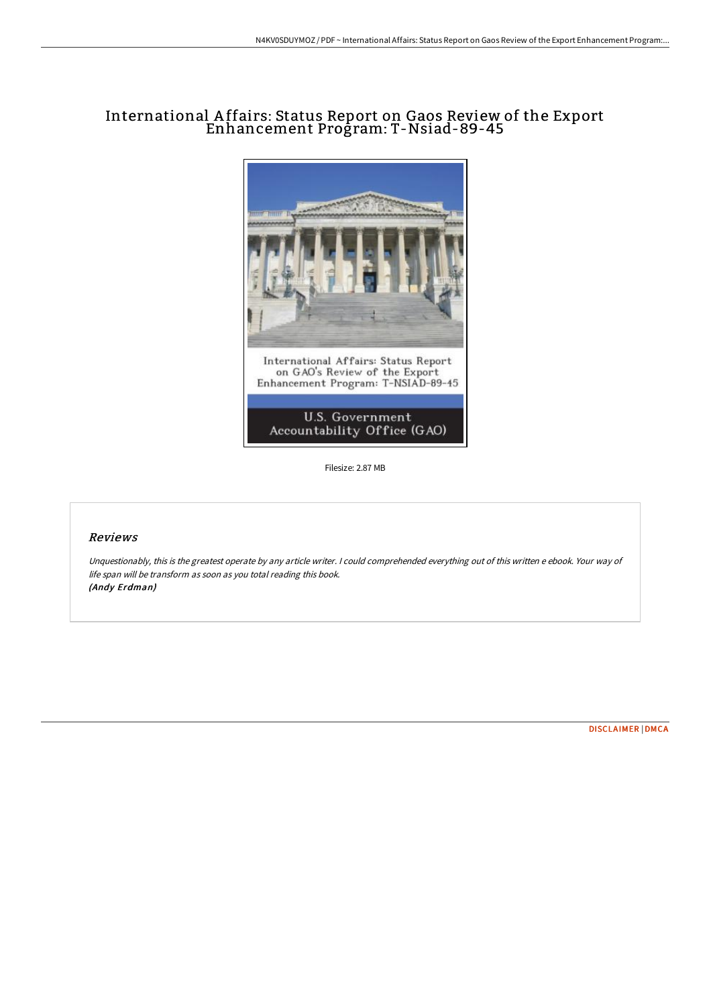## International A ffairs: Status Report on Gaos Review of the Export Enhancement Program: T-Nsiad-89-45



Filesize: 2.87 MB

## Reviews

Unquestionably, this is the greatest operate by any article writer. <sup>I</sup> could comprehended everything out of this written <sup>e</sup> ebook. Your way of life span will be transform as soon as you total reading this book. (Andy Erdman)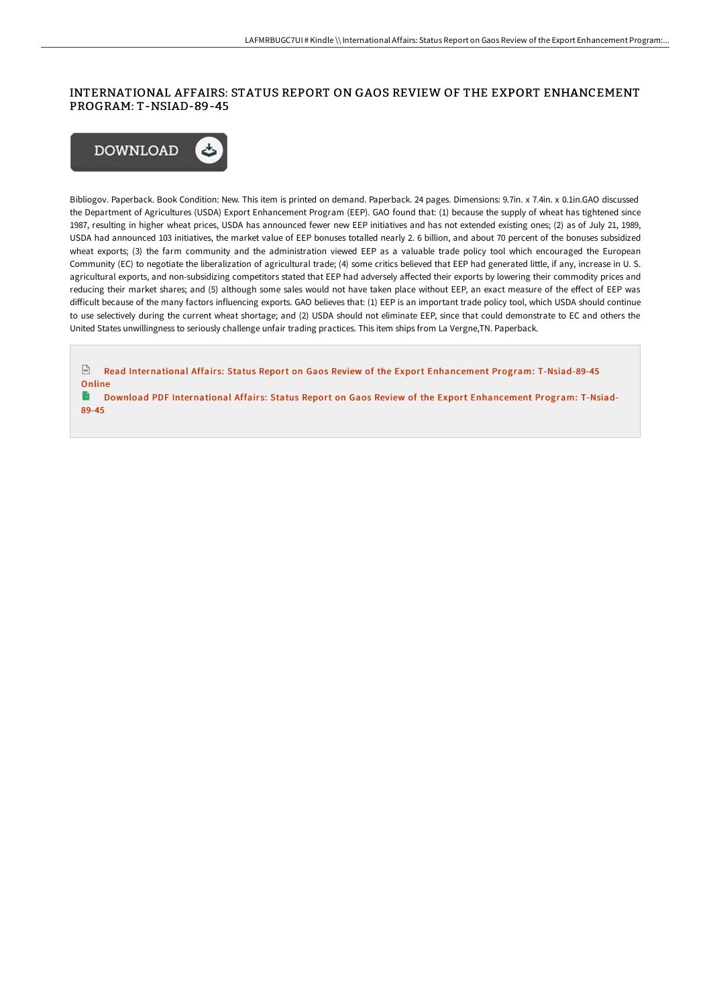## INTERNATIONAL AFFAIRS: STATUS REPORT ON GAOS REVIEW OF THE EXPORT ENHANCEMENT PROGRAM: T-NSIAD-89-45



Bibliogov. Paperback. Book Condition: New. This item is printed on demand. Paperback. 24 pages. Dimensions: 9.7in. x 7.4in. x 0.1in.GAO discussed the Department of Agricultures (USDA) Export Enhancement Program (EEP). GAO found that: (1) because the supply of wheat has tightened since 1987, resulting in higher wheat prices, USDA has announced fewer new EEP initiatives and has not extended existing ones; (2) as of July 21, 1989, USDA had announced 103 initiatives, the market value of EEP bonuses totalled nearly 2. 6 billion, and about 70 percent of the bonuses subsidized wheat exports; (3) the farm community and the administration viewed EEP as a valuable trade policy tool which encouraged the European Community (EC) to negotiate the liberalization of agricultural trade; (4) some critics believed that EEP had generated little, if any, increase in U. S. agricultural exports, and non-subsidizing competitors stated that EEP had adversely aFected their exports by lowering their commodity prices and reducing their market shares; and (5) although some sales would not have taken place without EEP, an exact measure of the eFect of EEP was diFicult because of the many factors influencing exports. GAO believes that: (1) EEP is an important trade policy tool, which USDA should continue to use selectively during the current wheat shortage; and (2) USDA should not eliminate EEP, since that could demonstrate to EC and others the United States unwillingness to seriously challenge unfair trading practices. This item ships from La Vergne,TN. Paperback.

 $\Gamma$ Read International Affairs: Status Report on Gaos Review of the Export Enhancement Program: [T-Nsiad-89-45](http://digilib.live/international-affairs-status-report-on-gaos-revi.html) Online  $\blacksquare$ 

Download PDF International Affairs: Status Report on Gaos Review of the Export [Enhancement](http://digilib.live/international-affairs-status-report-on-gaos-revi.html) Program: T-Nsiad-89-45